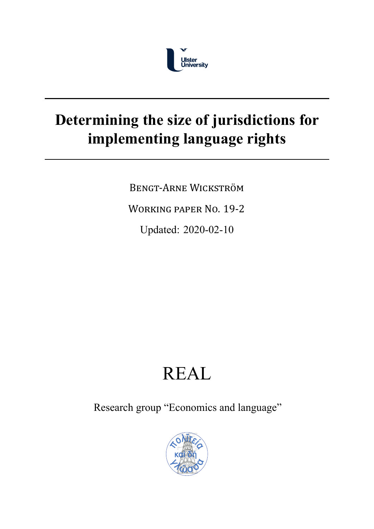

## **Determining the size of jurisdictions for implementing language rights**

BENGT‐ARNE WICKSTRÖM

WORKING PAPER NO. 19‐2

Updated: 2020-02-10

# REAL

Research group "Economics and language"

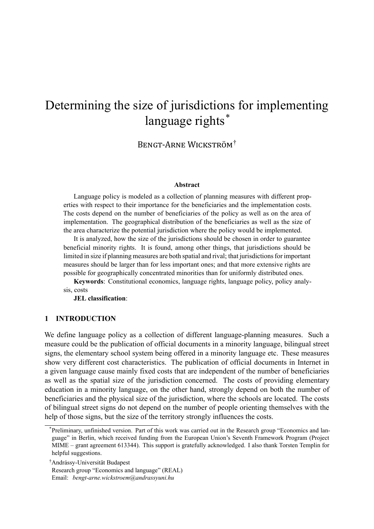### Determining the size of jurisdictions for implementing language rights<sup>\*</sup>

BENGT‐ARNE WICKSTRÖM†

#### **Abstract**

Language policy is modeled as a collection of planning measures with different properties with respect to their importance for the beneficiaries and the implementation costs. The costs depend on the number of beneficiaries of the policy as well as on the area of implementation. The geographical distribution of the beneficiaries as well as the size of the area characterize the potential jurisdiction where the policy would be implemented.

It is analyzed, how the size of the jurisdictions should be chosen in order to guarantee beneficial minority rights. It is found, among other things, that jurisdictions should be limited in size if planning measures are both spatial and rival; that jurisdictions for important measures should be larger than for less important ones; and that more extensive rights are possible for geographically concentrated minorities than for uniformly distributed ones.

**Keywords**: Constitutional economics, language rights, language policy, policy analysis, costs

**JEL classification**:

#### **1 INTRODUCTION**

We define language policy as a collection of different language-planning measures. Such a measure could be the publication of official documents in a minority language, bilingual street signs, the elementary school system being offered in a minority language etc. These measures show very different cost characteristics. The publication of official documents in Internet in a given language cause mainly fixed costs that are independent of the number of beneficiaries as well as the spatial size of the jurisdiction concerned. The costs of providing elementary education in a minority language, on the other hand, strongly depend on both the number of beneficiaries and the physical size of the jurisdiction, where the schools are located. The costs of bilingual street signs do not depend on the number of people orienting themselves with the help of those signs, but the size of the territory strongly influences the costs.

<sup>\*</sup>Preliminary, unfinished version. Part of this work was carried out in the Research group "Economics and language" in Berlin, which received funding from the European Union's Seventh Framework Program (Project MIME – grant agreement 613344). This support is gratefully acknowledged. I also thank Torsten Templin for helpful suggestions.

<sup>&</sup>lt;sup>†</sup>Andrássy-Universität Budapest

Research group "Economics and language" (REAL)

Email: *bengt-arne.wickstroem@andrassyuni.hu*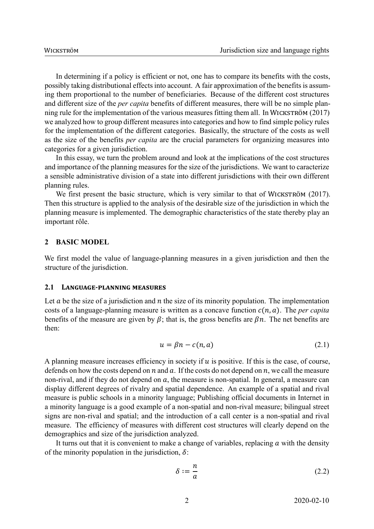In determining if a policy is efficient or not, one has to compare its benefits with the costs, possibly taking distributional effects into account. A fair approximation of the benefits is assuming them proportional to the number of beneficiaries. Because of the different cost structures and different size of the *per capita* benefits of different measures, there will be no simple planning rule for the implementation of the various measures fitting them all. In WICKSTRÖM (2017) we analyzed how to group different measures into categories and how to find simple policy rules for the implementation of the different categories. Basically, the structure of the costs as well as the size of the benefits *per capita* are the crucial parameters for organizing measures into categories for a given jurisdiction.

In this essay, we turn the problem around and look at the implications of the cost structures and importance of the planning measures for the size of the jurisdictions. We want to caracterize a sensible administrative division of a state into different jurisdictions with their own different planning rules.

We first present the basic structure, which is very similar to that of WICKSTRÖM (2017). Then this structure is applied to the analysis of the desirable size of the jurisdiction in which the planning measure is implemented. The demographic characteristics of the state thereby play an important rôle.

#### **2 BASIC MODEL**

We first model the value of language-planning measures in a given jurisdiction and then the structure of the jurisdiction.

#### **2.1 LANGUAGE‐PLANNING MEASURES**

Let  $a$  be the size of a jurisdiction and  $n$  the size of its minority population. The implementation costs of a language-planning measure is written as a concave function  $c(n, a)$ . The *per capita* benefits of the measure are given by  $\beta$ ; that is, the gross benefits are  $\beta n$ . The net benefits are then:

$$
u = \beta n - c(n, a) \tag{2.1}
$$

A planning measure increases efficiency in society if  $u$  is positive. If this is the case, of course, defends on how the costs depend on  $n$  and  $a$ . If the costs do not depend on  $n$ , we call the measure non-rival, and if they do not depend on  $a$ , the measure is non-spatial. In general, a measure can display different degrees of rivalry and spatial dependence. An example of a spatial and rival measure is public schools in a minority language; Publishing official documents in Internet in a minority language is a good example of a non-spatial and non-rival measure; bilingual street signs are non-rival and spatial; and the introduction of a call center is a non-spatial and rival measure. The efficiency of measures with different cost structures will clearly depend on the demographics and size of the jurisdiction analyzed.

It turns out that it is convenient to make a change of variables, replacing  $\alpha$  with the density of the minority population in the jurisdiction,  $\delta$ :

$$
\delta := \frac{n}{a} \tag{2.2}
$$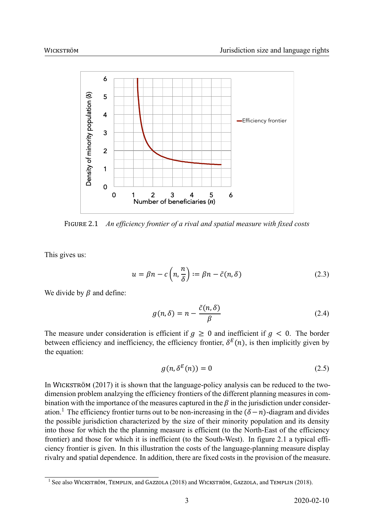

FIGURE 2.1 *An efficiency frontier of a rival and spatial measure with fixed costs*

This gives us:

$$
u = \beta n - c \left( n, \frac{n}{\delta} \right) := \beta n - \tilde{c}(n, \delta) \tag{2.3}
$$

We divide by  $\beta$  and define:

$$
g(n,\delta) = n - \frac{\tilde{c}(n,\delta)}{\beta} \tag{2.4}
$$

The measure under consideration is efficient if  $q \ge 0$  and inefficient if  $q < 0$ . The border between efficiency and inefficiency, the efficiency frontier,  $\delta^{E}(n)$ , is then implicitly given by the equation:

$$
g(n, \delta^{E}(n)) = 0 \tag{2.5}
$$

In WICKSTRÖM  $(2017)$  it is shown that the language-policy analysis can be reduced to the twodimension problem analzying the efficiency frontiers of the different planning measures in combination with the importance of the measures captured in the  $\beta$  in the jurisdiction under consideration.<sup>1</sup> The efficiency frontier turns out to be non-increasing in the  $(\delta - n)$ -diagram and divides the possible jurisdiction characterized by the size of their minority population and its density into those for which the the planning measure is efficient (to the North-East of the efficiency frontier) and those for which it is inefficient (to the South-West). In figure 2.1 a typical efficiency frontier is given. In this illustration the costs of the language-planning measure display rivalry and spatial dependence. In addition, there are fixed costs in the provision of the measure.

 $1$  See also WICKSTRÖM, TEMPLIN, and GAZZOLA (2018) and WICKSTRÖM, GAZZOLA, and TEMPLIN (2018).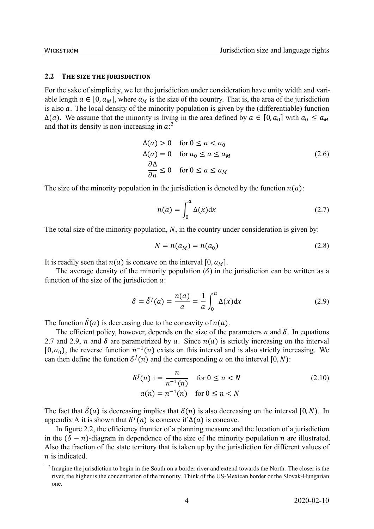#### **2.2 THE SIZE THE JURISDICTION**

For the sake of simplicity, we let the jurisdiction under consideration have unity width and variable length  $a \in [0, a_M]$ , where  $a_M$  is the size of the country. That is, the area of the jurisdiction is also  $\alpha$ . The local density of the minority population is given by the (differentiable) function  $\Delta(a)$ . We assume that the minority is living in the area defined by  $a \in [0, a_0]$  with  $a_0 \le a_M$ and that its density is non-increasing in  $a$ <sup>2</sup>

$$
\Delta(a) > 0 \quad \text{for } 0 \le a < a_0
$$
\n
$$
\Delta(a) = 0 \quad \text{for } a_0 \le a \le a_M
$$
\n
$$
\frac{\partial \Delta}{\partial a} \le 0 \quad \text{for } 0 \le a \le a_M
$$
\n
$$
(2.6)
$$

The size of the minority population in the jurisdiction is denoted by the function  $n(a)$ :

$$
n(a) = \int_0^a \Delta(x) \mathrm{d}x \tag{2.7}
$$

The total size of the minority population,  $N$ , in the country under consideration is given by:

$$
N = n(a_M) = n(a_0) \tag{2.8}
$$

It is readily seen that  $n(a)$  is concave on the interval [0,  $a<sub>M</sub>$ ].

The average density of the minority population  $(\delta)$  in the jurisdiction can be written as a function of the size of the jurisdiction  $a$ :

$$
\delta = \tilde{\delta}^J(a) = \frac{n(a)}{a} = \frac{1}{a} \int_0^a \Delta(x) dx \qquad (2.9)
$$

The function  $\tilde{\delta}(a)$  is decreasing due to the concavity of  $n(a)$ .

The efficient policy, however, depends on the size of the parameters  $n$  and  $\delta$ . In equations 2.7 and 2.9, *n* and  $\delta$  are parametrized by *a*. Since  $n(a)$  is strictly increasing on the interval [0,  $a_0$ ], the reverse function  $n^{-1}(n)$  exists on this interval and is also strictly increasing. We can then define the function  $\delta^{J}(n)$  and the corresponding a on the interval [0, N):

$$
\delta^{J}(n) := \frac{n}{n^{-1}(n)} \quad \text{for } 0 \le n < N
$$
\n
$$
a(n) = n^{-1}(n) \quad \text{for } 0 \le n < N
$$
\n
$$
(2.10)
$$

The fact that  $\delta(a)$  is decreasing implies that  $\delta(n)$  is also decreasing on the interval [0, N). In appendix A it is shown that  $\delta^J(n)$  is concave if  $\Delta(a)$  is concave.

In figure 2.2, the efficiency frontier of a planning measure and the location of a jurisdiction in the  $(\delta - n)$ -diagram in dependence of the size of the minority population *n* are illustrated. Also the fraction of the state territory that is taken up by the jurisdiction for different values of  $n$  is indicated.

 $2$  Imagine the jurisdiction to begin in the South on a border river and extend towards the North. The closer is the river, the higher is the concentration of the minority. Think of the US-Mexican border or the Slovak-Hungarian one.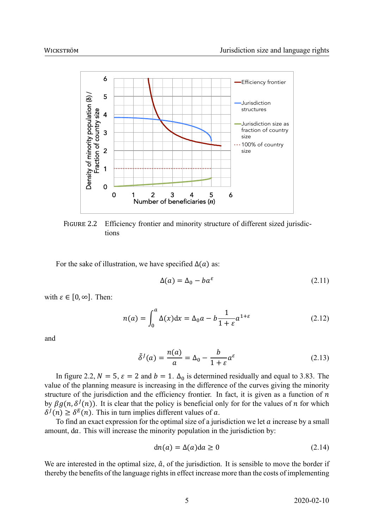

FIGURE 2.2 Efficiency frontier and minority structure of different sized jurisdictions

For the sake of illustration, we have specified  $\Delta(a)$  as:

$$
\Delta(a) = \Delta_0 - ba^{\varepsilon} \tag{2.11}
$$

with  $\varepsilon \in [0, \infty]$ . Then:

$$
n(a) = \int_0^a \Delta(x) dx = \Delta_0 a - b \frac{1}{1 + \varepsilon} a^{1 + \varepsilon}
$$
 (2.12)

and

$$
\tilde{\delta}^J(a) = \frac{n(a)}{a} = \Delta_0 - \frac{b}{1+\varepsilon} a^{\varepsilon} \tag{2.13}
$$

In figure 2.2,  $N = 5$ ,  $\varepsilon = 2$  and  $b = 1$ .  $\Delta_0$  is determined residually and equal to 3.83. The value of the planning measure is increasing in the difference of the curves giving the minority structure of the jurisdiction and the efficiency frontier. In fact, it is given as a function of  $n$ by  $\beta g(n, \delta^J(n))$ . It is clear that the policy is beneficial only for for the values of n for which  $\delta^J(n) \geq \delta^E(n)$ . This in turn implies different values of a.

To find an exact expression for the optimal size of a jurisdiction we let  $\alpha$  increase by a small amount, da. This will increase the minority population in the jurisdiction by:

$$
dn(a) = \Delta(a)da \ge 0
$$
\n(2.14)

We are interested in the optimal size,  $\hat{a}$ , of the jurisdiction. It is sensible to move the border if thereby the benefits of the language rights in effect increase more than the costs of implementing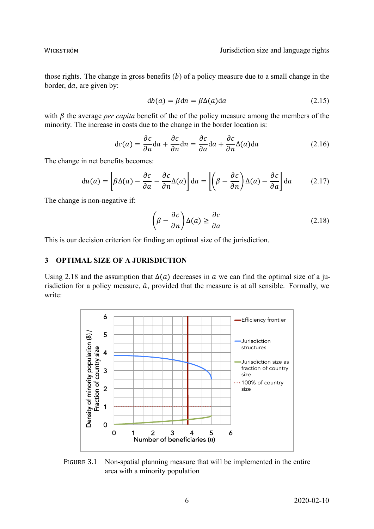those rights. The change in gross benefits  $(b)$  of a policy measure due to a small change in the border, da, are given by:

$$
db(a) = \beta dn = \beta \Delta(a) da \qquad (2.15)
$$

with  $\beta$  the average *per capita* benefit of the of the policy measure among the members of the minority. The increase in costs due to the change in the border location is:

$$
dc(a) = \frac{\partial c}{\partial a} da + \frac{\partial c}{\partial n} dn = \frac{\partial c}{\partial a} da + \frac{\partial c}{\partial n} \Delta(a) da \qquad (2.16)
$$

The change in net benefits becomes:

$$
du(a) = \left[\beta \Delta(a) - \frac{\partial c}{\partial a} - \frac{\partial c}{\partial n} \Delta(a)\right] da = \left[\left(\beta - \frac{\partial c}{\partial n}\right) \Delta(a) - \frac{\partial c}{\partial a}\right] da \tag{2.17}
$$

The change is non-negative if:

$$
\left(\beta - \frac{\partial c}{\partial n}\right) \Delta(a) \ge \frac{\partial c}{\partial a} \tag{2.18}
$$

This is our decision criterion for finding an optimal size of the jurisdiction.

#### **3 OPTIMAL SIZE OF A JURISDICTION**

Using 2.18 and the assumption that  $\Delta(a)$  decreases in a we can find the optimal size of a jurisdiction for a policy measure,  $\hat{a}$ , provided that the measure is at all sensible. Formally, we write:



FIGURE 3.1 Non-spatial planning measure that will be implemented in the entire area with a minority population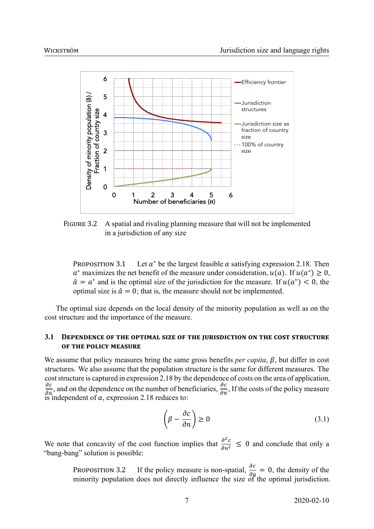

FIGURE 3.2 A spatial and rivaling planning measure that will not be implemented in a jurisdiction of any size

PROPOSITION 3.1 Let  $a^*$  be the largest feasible  $\alpha$  satisfying expression 2.18. Then  $a^*$  maximizes the net benefit of the measure under consideration,  $u(a)$ . If  $u(a^*) \ge 0$ ,  $\hat{a} = a^*$  and is the optimal size of the jurisdiction for the measure. If  $u(a^*) < 0$ , the optimal size is  $\hat{a} = 0$ ; that is, the measure should not be implemented.

The optimal size depends on the local density of the minority population as well as on the cost structure and the importance of the measure.

#### **3.1 DEPENDENCE OF THE OPTIMAL SIZE OF THE JURISDICTION ON THE COST STRUCTURE OF THE POLICY MEASURE**

We assume that policy measures bring the same gross benefits *per capita*,  $\beta$ , but differ in cost structures. We also assume that the population structure is the same for different measures. The cost structure is captured in expression 2.18 by the dependence of costs on the area of application,  $\frac{\partial c}{\partial a}$ , and on the dependence on the number of beneficiaries,  $\frac{\partial c}{\partial n}$ , If the costs of the policy measure is independent of  $a$ , expression 2.18 reduces to:

$$
\left(\beta - \frac{\partial c}{\partial n}\right) \ge 0\tag{3.1}
$$

We note that concavity of the cost function implies that  $\frac{\partial^2 c}{\partial n^2} \leq 0$  and conclude that only a "bang-bang" solution is possible:

PROPOSITION 3.2 If the policy measure is non-spatial,  $\frac{\partial c}{\partial q} = 0$ , the density of the minority population does not directly influence the size of the optimal jurisdiction.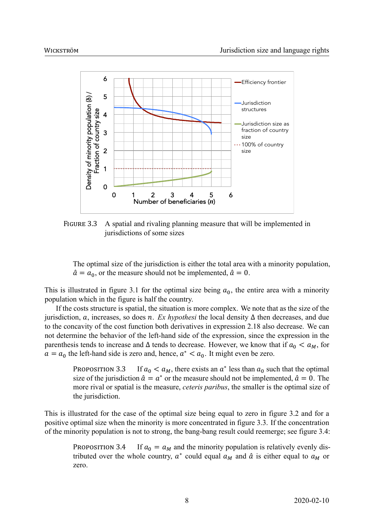

FIGURE 3.3 A spatial and rivaling planning measure that will be implemented in jurisdictions of some sizes

The optimal size of the jurisdiction is either the total area with a minority population,  $\hat{a} = a_0$ , or the measure should not be implemented,  $\hat{a} = 0$ .

This is illustrated in figure 3.1 for the optimal size being  $a_0$ , the entire area with a minority population which in the figure is half the country.

If the costs structure is spatial, the situation is more complex. We note that as the size of the jurisdiction,  $\alpha$ , increases, so does  $\dot{n}$ . *Ex hypothesi* the local density  $\Delta$  then decreases, and due to the concavity of the cost function both derivatives in expression 2.18 also decrease. We can not determine the behavior of the left-hand side of the expression, since the expression in the parenthesis tends to increase and  $\Delta$  tends to decrease. However, we know that if  $a_0 < a_M$ , for  $a = a_0$  the left-hand side is zero and, hence,  $a^* < a_0$ . It might even be zero.

> PROPOSITION 3.3 If  $a_0 < a_M$ , there exists an  $a^*$  less than  $a_0$  such that the optimal size of the jurisdiction  $\hat{a} = a^*$  or the measure should not be implemented,  $\hat{a} = 0$ . The more rival or spatial is the measure, *ceteris paribus*, the smaller is the optimal size of the jurisdiction.

This is illustrated for the case of the optimal size being equal to zero in figure 3.2 and for a positive optimal size when the minority is more concentrated in figure 3.3. If the concentration of the minority population is not to strong, the bang-bang result could reemerge; see figure 3.4:

PROPOSITION 3.4 If  $a_0 = a_M$  and the minority population is relatively evenly distributed over the whole country,  $a^*$  could equal  $a_M$  and  $\hat{a}$  is either equal to  $a_M$  or zero.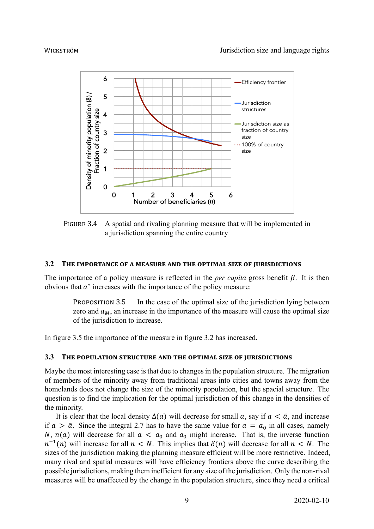

FIGURE 3.4 A spatial and rivaling planning measure that will be implemented in a jurisdiction spanning the entire country

#### **3.2 THE IMPORTANCE OF A MEASURE AND THE OPTIMAL SIZE OF JURISDICTIONS**

The importance of a policy measure is reflected in the *per capita* gross benefit  $\beta$ . It is then obvious that  $a^*$  increases with the importance of the policy measure:

PROPOSITION 3.5 In the case of the optimal size of the jurisdiction lying between zero and  $a_M$ , an increase in the importance of the measure will cause the optimal size of the jurisdiction to increase.

In figure 3.5 the importance of the measure in figure 3.2 has increased.

#### **3.3 THE POPULATION STRUCTURE AND THE OPTIMAL SIZE OF JURISDICTIONS**

Maybe the most interesting case is that due to changes in the population structure. The migration of members of the minority away from traditional areas into cities and towns away from the homelands does not change the size of the minority population, but the spacial structure. The question is to find the implication for the optimal jurisdiction of this change in the densities of the minority.

It is clear that the local density  $\Delta(a)$  will decrease for small a, say if  $a < \tilde{a}$ , and increase if  $a > \tilde{a}$ . Since the integral 2.7 has to have the same value for  $a = a_0$  in all cases, namely N,  $n(a)$  will decrease for all  $a < a_0$  and  $a_0$  might increase. That is, the inverse function  $n^{-1}(n)$  will increase for all  $n < N$ . This implies that  $\delta(n)$  will decrease for all  $n < N$ . The sizes of the jurisdiction making the planning measure efficient will be more restrictive. Indeed, many rival and spatial measures will have efficiency frontiers above the curve describing the possible jurisdictions, making them inefficient for any size of the jurisdiction. Only the non-rival measures will be unaffected by the change in the population structure, since they need a critical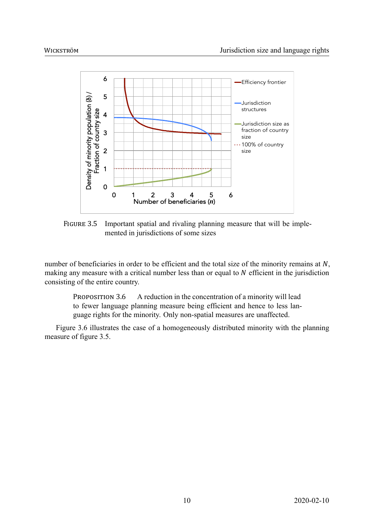

FIGURE 3.5 Important spatial and rivaling planning measure that will be implemented in jurisdictions of some sizes

number of beneficiaries in order to be efficient and the total size of the minority remains at  $N$ , making any measure with a critical number less than or equal to  $N$  efficient in the jurisdiction consisting of the entire country.

PROPOSITION 3.6 A reduction in the concentration of a minority will lead to fewer language planning measure being efficient and hence to less language rights for the minority. Only non-spatial measures are unaffected.

Figure 3.6 illustrates the case of a homogeneously distributed minority with the planning measure of figure 3.5.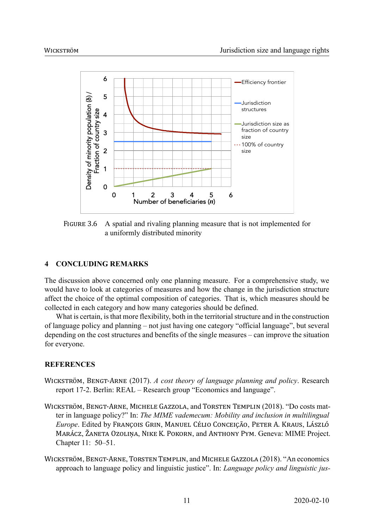

FIGURE 3.6 A spatial and rivaling planning measure that is not implemented for a uniformly distributed minority

#### **4 CONCLUDING REMARKS**

The discussion above concerned only one planning measure. For a comprehensive study, we would have to look at categories of measures and how the change in the jurisdiction structure affect the choice of the optimal composition of categories. That is, which measures should be collected in each category and how many categories should be defined.

What is certain, is that more flexibility, both in the territorial structure and in the construction of language policy and planning – not just having one category "official language", but several depending on the cost structures and benefits of the single measures – can improve the situation for everyone.

#### **REFERENCES**

- WICKSTRÖM, BENGT‐ARNE (2017). *A cost theory of language planning and policy*. Research report 172. Berlin: REAL – Research group "Economics and language".
- WICKSTRÖM, BENGT‐ARNE, MICHELE GAZZOLA, and TORSTEN TEMPLIN (2018). "Do costs matter in language policy?" In: *The MIME vademecum: Mobility and inclusion in multilingual Europe*. Edited by FRANÇOIS GRIN, MANUEL CÉLIO CONCEIÇÃO, PETER A. KRAUS, LÁSZLÓ MARÁCZ, ŽANETA OZOLIŅA, NIKE K. POKORN, and ANTHONY PYM. Geneva: MIME Project. Chapter 11: 50–51.
- WICKSTRÖM, BENGT‐ARNE, TORSTEN TEMPLIN, and MICHELE GAZZOLA (2018). "An economics approach to language policy and linguistic justice". In: *Language policy and linguistic jus-*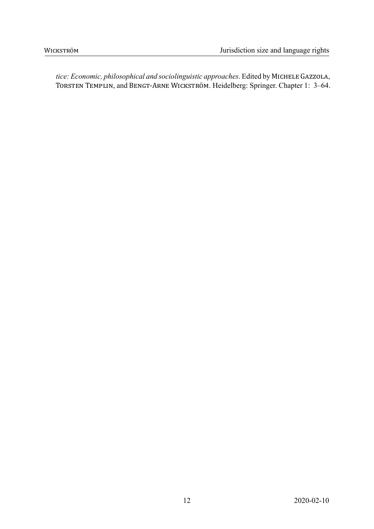*tice: Economic, philosophical and sociolinguistic approaches*. Edited by MICHELE GAZZOLA, TORSTEN TEMPLIN, and BENGT‐ARNE WICKSTRÖM. Heidelberg: Springer. Chapter 1: 3–64.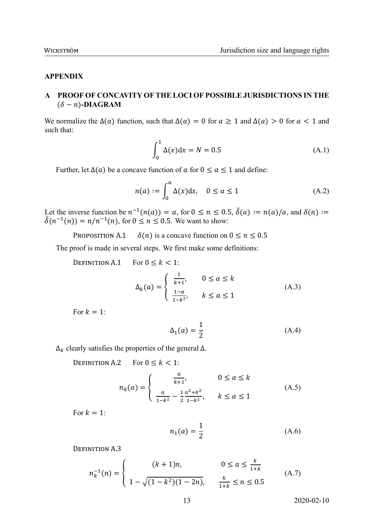#### **APPENDIX**

#### **A PROOF OF CONCAVITY OF THE LOCI OF POSSIBLE JURISDICTIONS IN THE**  $(\delta - n)$ -DIAGRAM

We normalize the  $\Delta(a)$  function, such that  $\Delta(a) = 0$  for  $a \ge 1$  and  $\Delta(a) > 0$  for  $a < 1$  and such that:

$$
\int_0^1 \Delta(x) dx = N = 0.5
$$
 (A.1)

Further, let  $\Delta(a)$  be a concave function of a for  $0 \le a \le 1$  and define:

$$
n(a) := \int_0^a \Delta(x) dx, \quad 0 \le a \le 1
$$
 (A.2)

Let the inverse function be  $n^{-1}(n(a)) = a$ , for  $0 \le n \le 0.5$ ,  $\tilde{\delta}(a) := n(a)/a$ , and  $\delta(n) :=$  $\delta(n^{-1}(n)) = n/n^{-1}(n)$ , for  $0 \le n \le 0.5$ . We want to show:

PROPOSITION A.1  $\delta(n)$  is a concave function on  $0 \le n \le 0.5$ 

The proof is made in several steps. We first make some definitions:

DEFINITION A.1 For  $0 \le k < 1$ :

$$
\Delta_k(a) = \begin{cases} \frac{1}{k+1}, & 0 \le a \le k \\ \frac{1-a}{1-k^2}, & k \le a \le 1 \end{cases}
$$
 (A.3)

For  $k = 1$ :

$$
\Delta_1(a) = \frac{1}{2} \tag{A.4}
$$

 $\Delta_k$  clearly satisfies the properties of the general  $\Delta$ .

DEFINITION A.2 For  $0 \le k < 1$ :

$$
n_k(a) = \begin{cases} \frac{a}{k+1}, & 0 \le a \le k\\ \frac{a}{1-k^2} - \frac{1}{2} \frac{a^2 + k^2}{1-k^2}, & k \le a \le 1 \end{cases}
$$
 (A.5)

For  $k = 1$ .

$$
n_1(a) = \frac{1}{2}
$$
 (A.6)

DEFINITION A.3

$$
n_k^{-1}(n) = \begin{cases} (k+1)n, & 0 \le a \le \frac{k}{1+k} \\ 1 - \sqrt{(1-k^2)(1-2n)}, & \frac{k}{1+k} \le n \le 0.5 \end{cases}
$$
 (A.7)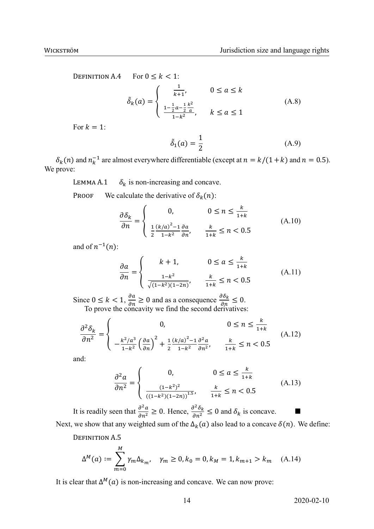DEFINITION A.4 For  $0 \le k < 1$ :  $\tilde{\delta}_k(a) = \begin{cases} \frac{1}{k+1} \\ 1 \end{cases}$  $\frac{1}{k+1}$ ,  $0 \le a \le k$  $1-\frac{1}{2}a-\frac{1}{2}$ 2  $k^2$  $\frac{2^{a} - 2}{1 - k^2}$ ,  $k \le a \le 1$ (A.8)

For  $k = 1$ :

$$
\tilde{\delta}_1(a) = \frac{1}{2} \tag{A.9}
$$

 $\delta_k(n)$  and  $n_k^{-1}$  are almost everywhere differentiable (except at  $n = k/(1+k)$  and  $n = 0.5$ ). We prove:

LEMMA A.1  $\delta_k$  is non-increasing and concave.

PROOF We calculate the derivative of  $\delta_k(n)$ :

$$
\frac{\partial \delta_k}{\partial n} = \begin{cases}\n0, & 0 \le n \le \frac{k}{1+k} \\
\frac{1}{2} \frac{(k/a)^2 - 1}{1 - k^2} \frac{\partial a}{\partial n}, & \frac{k}{1+k} \le n < 0.5\n\end{cases} \tag{A.10}
$$

and of  $n^{-1}(n)$ :

$$
\frac{\partial a}{\partial n} = \begin{cases} k+1, & 0 \le a \le \frac{k}{1+k} \\ \frac{1-k^2}{\sqrt{(1-k^2)(1-2n)}}, & \frac{k}{1+k} \le n < 0.5 \end{cases} \tag{A.11}
$$

Since  $0 \le k < 1$ ,  $\frac{\partial a}{\partial n} \ge 0$  and as a consequence  $\frac{\partial \delta_k}{\partial n} \le 0$ . To prove the concavity we find the second derivatives:

$$
\frac{\partial^2 \delta_k}{\partial n^2} = \begin{cases}\n0, & 0 \le n \le \frac{k}{1+k} \\
-\frac{k^2/a^3}{1-k^2} \left(\frac{\partial a}{\partial n}\right)^2 + \frac{1}{2} \frac{(k/a)^2 - 1}{1-k^2} \frac{\partial^2 a}{\partial n^2}, & \frac{k}{1+k} \le n < 0.5\n\end{cases} (A.12)
$$

and:

$$
\frac{\partial^2 a}{\partial n^2} = \begin{cases}\n0, & 0 \le a \le \frac{k}{1+k} \\
\frac{(1-k^2)^2}{((1-k^2)(1-2n))^{1.5}}, & \frac{k}{1+k} \le n < 0.5\n\end{cases}
$$
\n(A.13)

It is readily seen that  $\frac{\partial^2 a}{\partial n^2} \ge 0$ . Hence,  $\frac{\partial^2 \delta_k}{\partial n^2} \le 0$  and  $\delta_k$  is concave. Next, we show that any weighted sum of the  $\Delta_k(a)$  also lead to a concave  $\delta(n)$ . We define:

DEFINITION A.5

$$
\Delta^{M}(a) := \sum_{m=0}^{M} \gamma_{m} \Delta_{k_{m}}, \quad \gamma_{m} \ge 0, k_{0} = 0, k_{M} = 1, k_{m+1} > k_{m} \quad (A.14)
$$

It is clear that  $\Delta^M(a)$  is non-increasing and concave. We can now prove: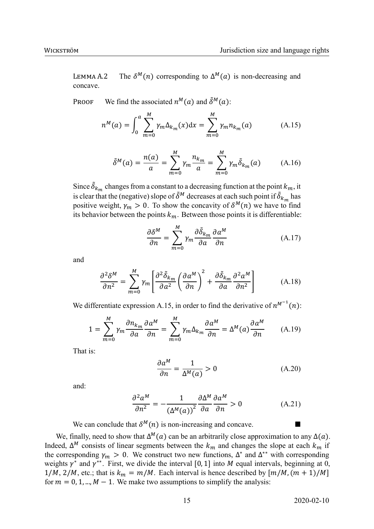LEMMA A.2  $M(n)$  corresponding to  $\Delta^M(a)$  is non-decreasing and concave.

PROOF We find the associated  $n^M(a)$  and  $\tilde{\delta}^M(a)$ :

$$
n^{M}(a) = \int_{0}^{a} \sum_{m=0}^{M} \gamma_{m} \Delta_{k_{m}}(x) dx = \sum_{m=0}^{M} \gamma_{m} n_{k_{m}}(a)
$$
 (A.15)

$$
\tilde{\delta}^{M}(a) = \frac{n(a)}{a} = \sum_{m=0}^{M} \gamma_{m} \frac{n_{k_{m}}}{a} = \sum_{m=0}^{M} \gamma_{m} \tilde{\delta}_{k_{m}}(a)
$$
 (A.16)

Since  $\tilde{\delta}_{k_m}$  changes from a constant to a decreasing function at the point  $k_m$ , it is clear that the (negative) slope of  $\tilde{\delta}^M$  decreases at each such point if  $\tilde{\delta}_{k_m}$  has positive weight,  $\gamma_m > 0$ . To show the concavity of  $\delta^M(n)$  we have to find its behavior between the points  $k_m$ . Between those points it is differentiable:

$$
\frac{\partial \delta^{M}}{\partial n} = \sum_{m=0}^{M} \gamma_m \frac{\partial \tilde{\delta}_{k_m}}{\partial a} \frac{\partial a^{M}}{\partial n}
$$
 (A.17)

and

$$
\frac{\partial^2 \delta^M}{\partial n^2} = \sum_{m=0}^M \gamma_m \left[ \frac{\partial^2 \tilde{\delta}_{k_m}}{\partial a^2} \left( \frac{\partial a^M}{\partial n} \right)^2 + \frac{\partial \tilde{\delta}_{k_m}}{\partial a} \frac{\partial^2 a^M}{\partial n^2} \right]
$$
(A.18)

We differentiate expression A.15, in order to find the derivative of  $n^{M^{-1}}(n)$ :

$$
1 = \sum_{m=0}^{M} \gamma_m \frac{\partial n_{k_m}}{\partial a} \frac{\partial a^M}{\partial n} = \sum_{m=0}^{M} \gamma_m \Delta_{k_m} \frac{\partial a^M}{\partial n} = \Delta^M(a) \frac{\partial a^M}{\partial n}
$$
 (A.19)

That is:

$$
\frac{\partial a^M}{\partial n} = \frac{1}{\Delta^M(a)} > 0
$$
\n(A.20)

and:

$$
\frac{\partial^2 a^M}{\partial n^2} = -\frac{1}{\left(\Delta^M(a)\right)^2} \frac{\partial \Delta^M}{\partial a} \frac{\partial a^M}{\partial n} > 0
$$
 (A.21)

We can conclude that  $\delta^{M}(n)$  is non-increasing and concave.

We, finally, need to show that  $\Delta^M(a)$  can be an arbitrarily close approximation to any  $\Delta(a)$ . Indeed,  $\Delta^M$  consists of linear segments between the  $k_m$  and changes the slope at each  $k_m$  if the corresponding  $\gamma_m > 0$ . We construct two new functions,  $\Delta^*$  and  $\Delta^{**}$  with corresponding weights  $\gamma^*$  and  $\gamma^{**}$ . First, we divide the interval [0, 1] into *M* equal intervals, beginning at 0,  $1/M$ ,  $2/M$ , etc.; that is  $k_m = m/M$ . Each interval is hence described by  $[m/M, (m + 1)/M]$ for  $m = 0, 1, ..., M - 1$ . We make two assumptions to simplify the analysis: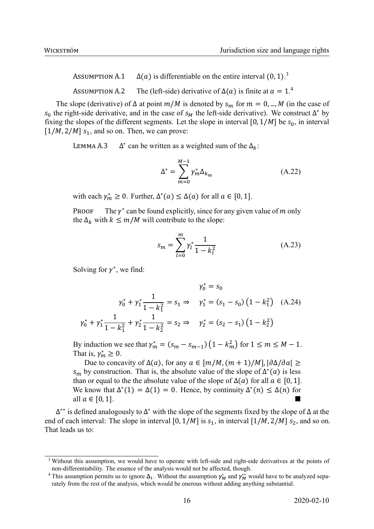ASSUMPTION A.1  $\Delta(a)$  is differentiable on the entire interval  $(0, 1)$ .<sup>3</sup> ASSUMPTION A.2 The (left-side) derivative of  $\Delta(a)$  is finite at  $a = 1.4$ 

The slope (derivative) of  $\Delta$  at point  $m/M$  is denoted by  $s_m$  for  $m = 0, ..., M$  (in the case of  $s_0$  the right-side derivative, and in the case of  $s_M$  the left-side derivative). We construct  $\Delta^*$  by fixing the slopes of the different segments. Let the slope in interval [0,  $1/M$ ] be  $s_0$ , in interval  $[1/M, 2/M]$   $s<sub>1</sub>$ , and so on. Then, we can prove:

LEMMA A.3 \* can be written as a weighted sum of the  $\Delta_k$ :

$$
\Delta^* = \sum_{m=0}^{M-1} \gamma_m^* \Delta_{k_m}
$$
 (A.22)

with each  $\gamma_m^* \ge 0$ . Further,  $\Delta^*(a) \le \Delta(a)$  for all  $a \in [0, 1]$ .

PROOF  $*$  can be found explicitly, since for any given value of  $m$  only the  $\Delta_k$  with  $k \leq m/M$  will contribute to the slope:

$$
s_m = \sum_{l=0}^{m} \gamma_l^* \frac{1}{1 - k_l^2}
$$
 (A.23)

Solving for  $\gamma^*$ , we find:

$$
\gamma_0^* = s_0
$$
  
\n
$$
\gamma_0^* + \gamma_1^* \frac{1}{1 - k_1^2} = s_1 \Rightarrow \gamma_1^* = (s_1 - s_0) (1 - k_1^2) \quad (A.24)
$$
  
\n
$$
\gamma_0^* + \gamma_1^* \frac{1}{1 - k_1^2} + \gamma_2^* \frac{1}{1 - k_2^2} = s_2 \Rightarrow \gamma_2^* = (s_2 - s_1) (1 - k_2^2)
$$

By induction we see that  $\gamma_m^* = (s_m - s_{m-1}) (1 - k_m^2)$  for  $1 \le m \le M - 1$ . That is,  $\gamma_m^* \geq 0$ .

Due to concavity of  $\Delta(a)$ , for any  $a \in [m/M, (m+1)/M]$ ,  $|\partial \Delta/\partial a| \ge$  $s_m$  by construction. That is, the absolute value of the slope of  $\Delta^*(a)$  is less than or equal to the the absolute value of the slope of  $\Delta(a)$  for all  $a \in [0, 1]$ . We know that  $\Delta^*(1) = \Delta(1) = 0$ . Hence, by continuity  $\Delta^*(n) \leq \Delta(n)$  for all  $a \in [0, 1]$ .

 $\Delta^{**}$  is defined analogously to  $\Delta^*$  with the slope of the segments fixed by the slope of  $\Delta$  at the end of each interval: The slope in interval [0,  $1/M$ ] is  $s_1$ , in interval [ $1/M$ ,  $2/M$ ]  $s_2$ , and so on. That leads us to:

<sup>&</sup>lt;sup>3</sup> Without this assumption, we would have to operate with left-side and right-side derivatives at the points of non-differentiability. The essence of the analysis would not be affected, though.

<sup>&</sup>lt;sup>4</sup> This assumption permits us to ignore  $\Delta_1$ . Without the assumption  $\gamma_M^*$  and  $\gamma_M^{**}$  would have to be analyzed separately from the rest of the analysis, which would be onerous without adding anything substantial.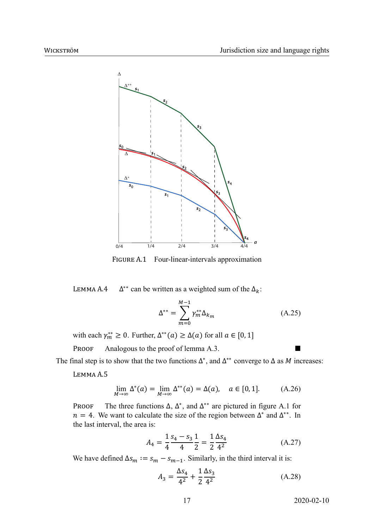

FIGURE A.1 Four-linear-intervals approximation

LEMMA A.4  $\Delta^{**}$  can be written as a weighted sum of the  $\Delta_k$ :

$$
\Delta^{**} = \sum_{m=0}^{M-1} \gamma_m^{**} \Delta_{k_m}
$$
 (A.25)

with each  $\gamma_m^{**} \ge 0$ . Further,  $\Delta^{**}(a) \ge \Delta(a)$  for all  $a \in [0, 1]$ 

PROOF Analogous to the proof of lemma A.3.

The final step is to show that the two functions  $\Delta^*$ , and  $\Delta^{**}$  converge to  $\Delta$  as M increases:

LEMMA A.5

$$
\lim_{M \to \infty} \Delta^*(a) = \lim_{M \to \infty} \Delta^{**}(a) = \Delta(a), \quad a \in [0, 1]. \tag{A.26}
$$

PROOF The three functions  $\Delta$ ,  $\Delta^*$ , and  $\Delta^{**}$  are pictured in figure A.1 for  $n = 4$ . We want to calculate the size of the region between  $\Delta^*$  and  $\Delta^{**}$ . In the last interval, the area is:

$$
A_4 = \frac{1}{4} \frac{s_4 - s_3}{4} \frac{1}{2} = \frac{1}{2} \frac{\Delta s_4}{4^2}
$$
 (A.27)

We have defined  $\Delta s_m := s_m - s_{m-1}$ . Similarly, in the third interval it is:

$$
A_3 = \frac{\Delta s_4}{4^2} + \frac{1}{2} \frac{\Delta s_3}{4^2}
$$
 (A.28)

17 2020-02-10